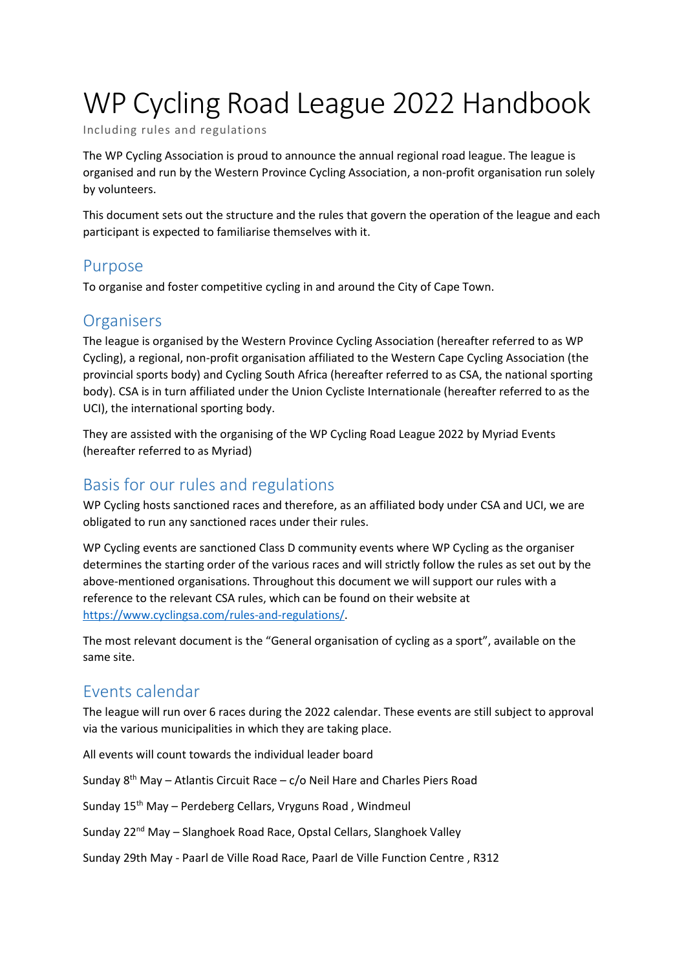# WP Cycling Road League 2022 Handbook

Including rules and regulations

The WP Cycling Association is proud to announce the annual regional road league. The league is organised and run by the Western Province Cycling Association, a non-profit organisation run solely by volunteers.

This document sets out the structure and the rules that govern the operation of the league and each participant is expected to familiarise themselves with it.

# Purpose

To organise and foster competitive cycling in and around the City of Cape Town.

# **Organisers**

The league is organised by the Western Province Cycling Association (hereafter referred to as WP Cycling), a regional, non-profit organisation affiliated to the Western Cape Cycling Association (the provincial sports body) and Cycling South Africa (hereafter referred to as CSA, the national sporting body). CSA is in turn affiliated under the Union Cycliste Internationale (hereafter referred to as the UCI), the international sporting body.

They are assisted with the organising of the WP Cycling Road League 2022 by Myriad Events (hereafter referred to as Myriad)

# Basis for our rules and regulations

WP Cycling hosts sanctioned races and therefore, as an affiliated body under CSA and UCI, we are obligated to run any sanctioned races under their rules.

WP Cycling events are sanctioned Class D community events where WP Cycling as the organiser determines the starting order of the various races and will strictly follow the rules as set out by the above-mentioned organisations. Throughout this document we will support our rules with a reference to the relevant CSA rules, which can be found on their website at https://www.cyclingsa.com/rules-and-regulations/.

The most relevant document is the "General organisation of cycling as a sport", available on the same site.

# Events calendar

The league will run over 6 races during the 2022 calendar. These events are still subject to approval via the various municipalities in which they are taking place.

All events will count towards the individual leader board

Sunday  $8<sup>th</sup>$  May – Atlantis Circuit Race – c/o Neil Hare and Charles Piers Road

Sunday 15th May – Perdeberg Cellars, Vryguns Road , Windmeul

Sunday 22<sup>nd</sup> May – Slanghoek Road Race, Opstal Cellars, Slanghoek Valley

Sunday 29th May - Paarl de Ville Road Race, Paarl de Ville Function Centre , R312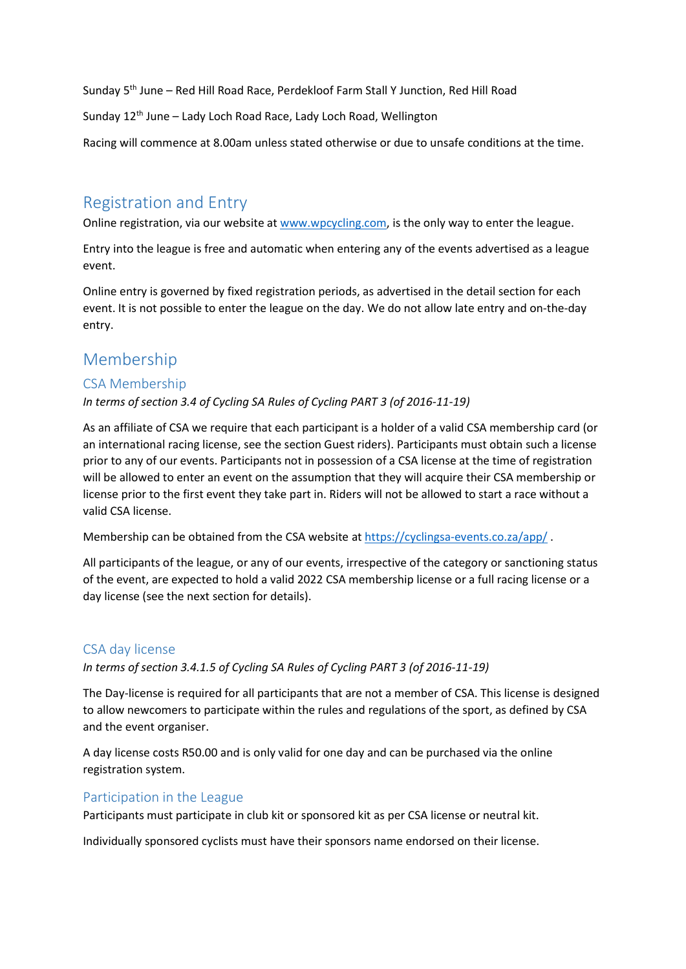Sunday 5th June – Red Hill Road Race, Perdekloof Farm Stall Y Junction, Red Hill Road

Sunday 12<sup>th</sup> June – Lady Loch Road Race, Lady Loch Road, Wellington

Racing will commence at 8.00am unless stated otherwise or due to unsafe conditions at the time.

# Registration and Entry

Online registration, via our website at www.wpcycling.com, is the only way to enter the league.

Entry into the league is free and automatic when entering any of the events advertised as a league event.

Online entry is governed by fixed registration periods, as advertised in the detail section for each event. It is not possible to enter the league on the day. We do not allow late entry and on-the-day entry.

# Membership

## CSA Membership

In terms of section 3.4 of Cycling SA Rules of Cycling PART 3 (of 2016-11-19)

As an affiliate of CSA we require that each participant is a holder of a valid CSA membership card (or an international racing license, see the section Guest riders). Participants must obtain such a license prior to any of our events. Participants not in possession of a CSA license at the time of registration will be allowed to enter an event on the assumption that they will acquire their CSA membership or license prior to the first event they take part in. Riders will not be allowed to start a race without a valid CSA license.

Membership can be obtained from the CSA website at https://cyclingsa-events.co.za/app/.

All participants of the league, or any of our events, irrespective of the category or sanctioning status of the event, are expected to hold a valid 2022 CSA membership license or a full racing license or a day license (see the next section for details).

#### CSA day license

In terms of section 3.4.1.5 of Cycling SA Rules of Cycling PART 3 (of 2016-11-19)

The Day-license is required for all participants that are not a member of CSA. This license is designed to allow newcomers to participate within the rules and regulations of the sport, as defined by CSA and the event organiser.

A day license costs R50.00 and is only valid for one day and can be purchased via the online registration system.

#### Participation in the League

Participants must participate in club kit or sponsored kit as per CSA license or neutral kit.

Individually sponsored cyclists must have their sponsors name endorsed on their license.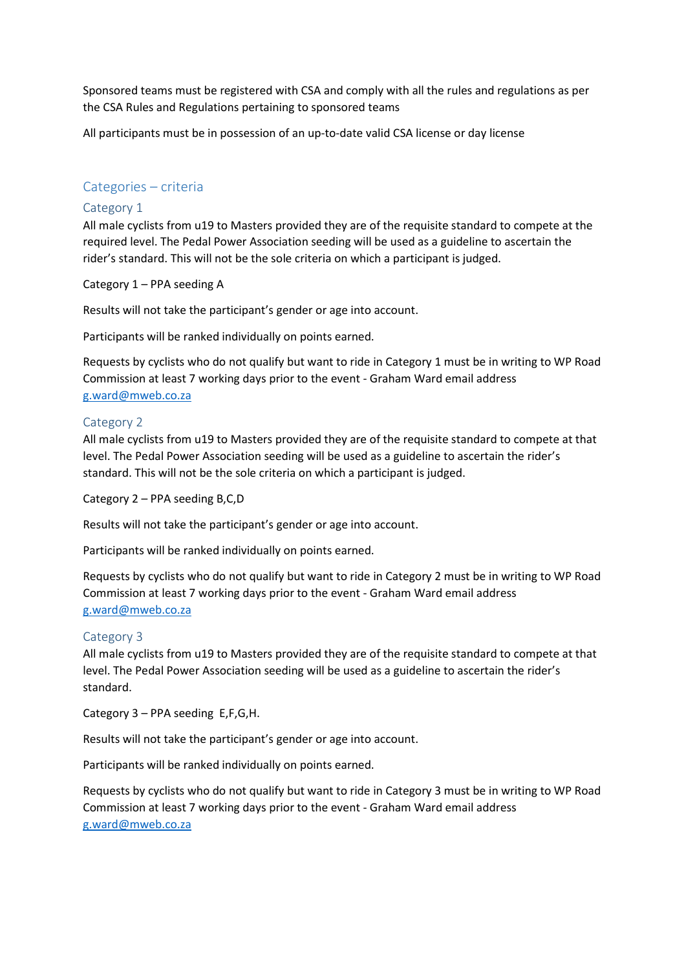Sponsored teams must be registered with CSA and comply with all the rules and regulations as per the CSA Rules and Regulations pertaining to sponsored teams

All participants must be in possession of an up-to-date valid CSA license or day license

#### Categories – criteria

#### Category 1

All male cyclists from u19 to Masters provided they are of the requisite standard to compete at the required level. The Pedal Power Association seeding will be used as a guideline to ascertain the rider's standard. This will not be the sole criteria on which a participant is judged.

Category 1 – PPA seeding A

Results will not take the participant's gender or age into account.

Participants will be ranked individually on points earned.

Requests by cyclists who do not qualify but want to ride in Category 1 must be in writing to WP Road Commission at least 7 working days prior to the event - Graham Ward email address g.ward@mweb.co.za

#### Category 2

All male cyclists from u19 to Masters provided they are of the requisite standard to compete at that level. The Pedal Power Association seeding will be used as a guideline to ascertain the rider's standard. This will not be the sole criteria on which a participant is judged.

#### Category 2 – PPA seeding B,C,D

Results will not take the participant's gender or age into account.

Participants will be ranked individually on points earned.

Requests by cyclists who do not qualify but want to ride in Category 2 must be in writing to WP Road Commission at least 7 working days prior to the event - Graham Ward email address g.ward@mweb.co.za

#### Category 3

All male cyclists from u19 to Masters provided they are of the requisite standard to compete at that level. The Pedal Power Association seeding will be used as a guideline to ascertain the rider's standard.

Category 3 – PPA seeding E,F,G,H.

Results will not take the participant's gender or age into account.

Participants will be ranked individually on points earned.

Requests by cyclists who do not qualify but want to ride in Category 3 must be in writing to WP Road Commission at least 7 working days prior to the event - Graham Ward email address g.ward@mweb.co.za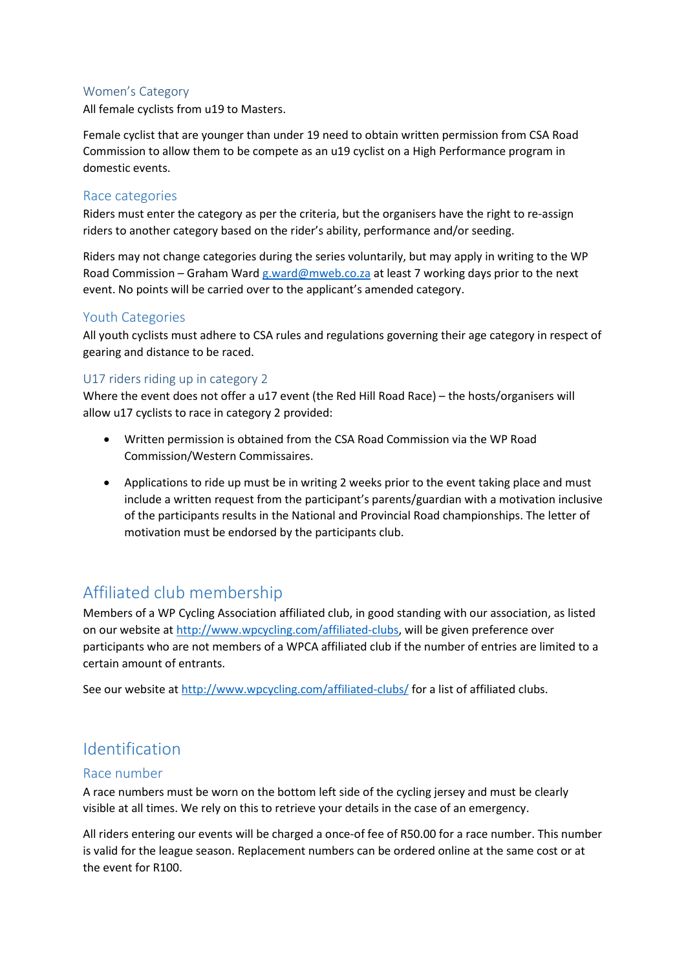#### Women's Category

All female cyclists from u19 to Masters.

Female cyclist that are younger than under 19 need to obtain written permission from CSA Road Commission to allow them to be compete as an u19 cyclist on a High Performance program in domestic events.

#### Race categories

Riders must enter the category as per the criteria, but the organisers have the right to re-assign riders to another category based on the rider's ability, performance and/or seeding.

Riders may not change categories during the series voluntarily, but may apply in writing to the WP Road Commission – Graham Ward g.ward@mweb.co.za at least 7 working days prior to the next event. No points will be carried over to the applicant's amended category.

### Youth Categories

All youth cyclists must adhere to CSA rules and regulations governing their age category in respect of gearing and distance to be raced.

#### U17 riders riding up in category 2

Where the event does not offer a u17 event (the Red Hill Road Race) – the hosts/organisers will allow u17 cyclists to race in category 2 provided:

- Written permission is obtained from the CSA Road Commission via the WP Road Commission/Western Commissaires.
- Applications to ride up must be in writing 2 weeks prior to the event taking place and must include a written request from the participant's parents/guardian with a motivation inclusive of the participants results in the National and Provincial Road championships. The letter of motivation must be endorsed by the participants club.

# Affiliated club membership

Members of a WP Cycling Association affiliated club, in good standing with our association, as listed on our website at http://www.wpcycling.com/affiliated-clubs, will be given preference over participants who are not members of a WPCA affiliated club if the number of entries are limited to a certain amount of entrants.

See our website at http://www.wpcycling.com/affiliated-clubs/ for a list of affiliated clubs.

# Identification

## Race number

A race numbers must be worn on the bottom left side of the cycling jersey and must be clearly visible at all times. We rely on this to retrieve your details in the case of an emergency.

All riders entering our events will be charged a once-of fee of R50.00 for a race number. This number is valid for the league season. Replacement numbers can be ordered online at the same cost or at the event for R100.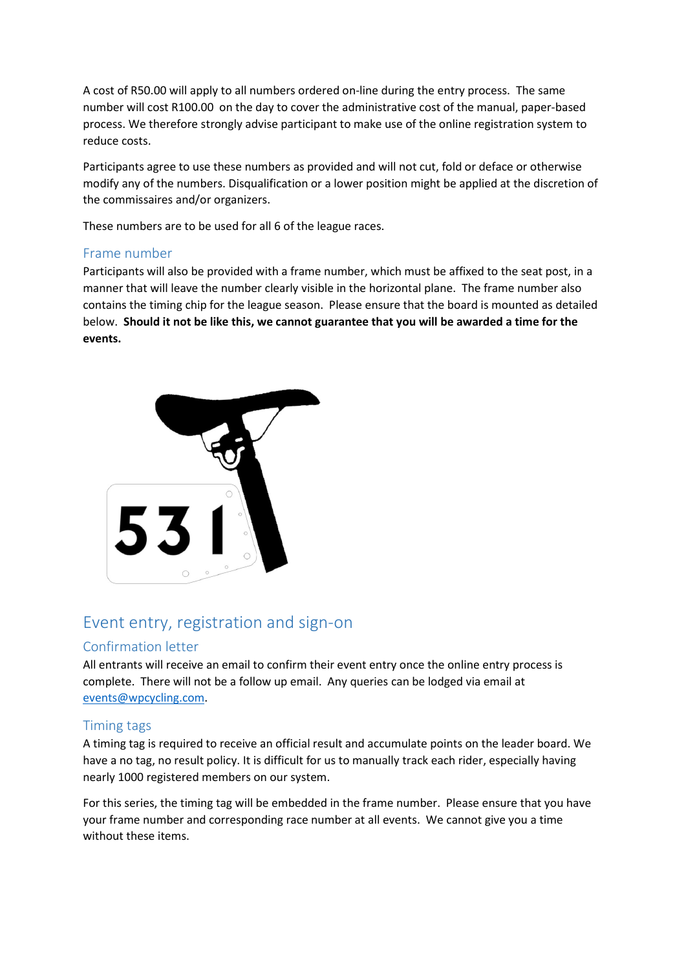A cost of R50.00 will apply to all numbers ordered on-line during the entry process. The same number will cost R100.00 on the day to cover the administrative cost of the manual, paper-based process. We therefore strongly advise participant to make use of the online registration system to reduce costs.

Participants agree to use these numbers as provided and will not cut, fold or deface or otherwise modify any of the numbers. Disqualification or a lower position might be applied at the discretion of the commissaires and/or organizers.

These numbers are to be used for all 6 of the league races.

### Frame number

Participants will also be provided with a frame number, which must be affixed to the seat post, in a manner that will leave the number clearly visible in the horizontal plane. The frame number also contains the timing chip for the league season. Please ensure that the board is mounted as detailed below. Should it not be like this, we cannot guarantee that you will be awarded a time for the events.



# Event entry, registration and sign-on

## Confirmation letter

All entrants will receive an email to confirm their event entry once the online entry process is complete. There will not be a follow up email. Any queries can be lodged via email at events@wpcycling.com.

## Timing tags

A timing tag is required to receive an official result and accumulate points on the leader board. We have a no tag, no result policy. It is difficult for us to manually track each rider, especially having nearly 1000 registered members on our system.

For this series, the timing tag will be embedded in the frame number. Please ensure that you have your frame number and corresponding race number at all events. We cannot give you a time without these items.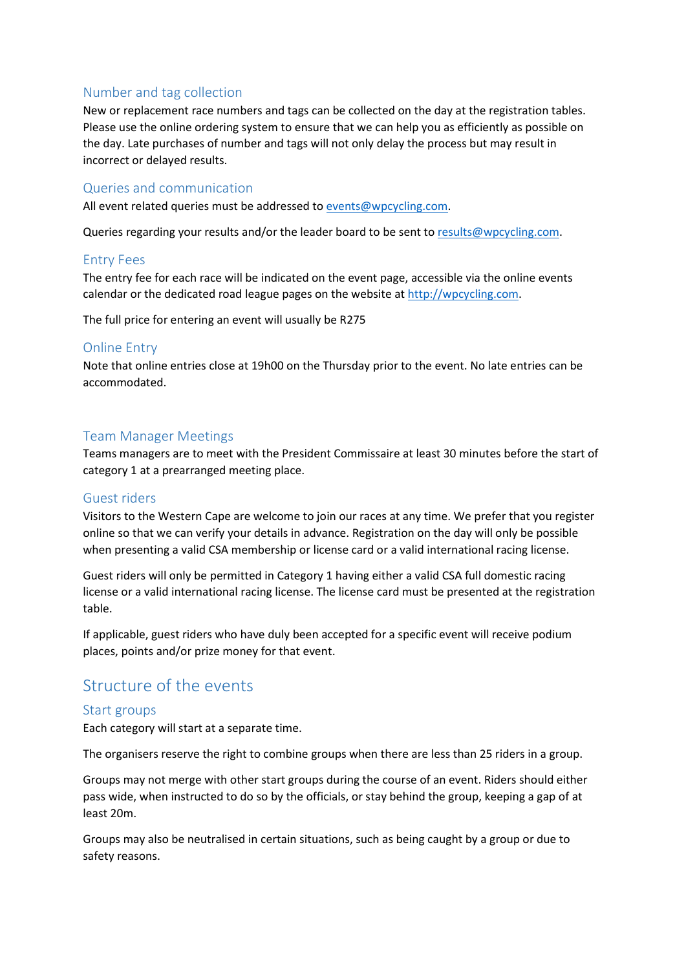## Number and tag collection

New or replacement race numbers and tags can be collected on the day at the registration tables. Please use the online ordering system to ensure that we can help you as efficiently as possible on the day. Late purchases of number and tags will not only delay the process but may result in incorrect or delayed results.

#### Queries and communication

All event related queries must be addressed to events@wpcycling.com.

Queries regarding your results and/or the leader board to be sent to results@wpcycling.com.

#### Entry Fees

The entry fee for each race will be indicated on the event page, accessible via the online events calendar or the dedicated road league pages on the website at http://wpcycling.com.

The full price for entering an event will usually be R275

#### Online Entry

Note that online entries close at 19h00 on the Thursday prior to the event. No late entries can be accommodated.

#### Team Manager Meetings

Teams managers are to meet with the President Commissaire at least 30 minutes before the start of category 1 at a prearranged meeting place.

#### Guest riders

Visitors to the Western Cape are welcome to join our races at any time. We prefer that you register online so that we can verify your details in advance. Registration on the day will only be possible when presenting a valid CSA membership or license card or a valid international racing license.

Guest riders will only be permitted in Category 1 having either a valid CSA full domestic racing license or a valid international racing license. The license card must be presented at the registration table.

If applicable, guest riders who have duly been accepted for a specific event will receive podium places, points and/or prize money for that event.

# Structure of the events

#### Start groups

Each category will start at a separate time.

The organisers reserve the right to combine groups when there are less than 25 riders in a group.

Groups may not merge with other start groups during the course of an event. Riders should either pass wide, when instructed to do so by the officials, or stay behind the group, keeping a gap of at least 20m.

Groups may also be neutralised in certain situations, such as being caught by a group or due to safety reasons.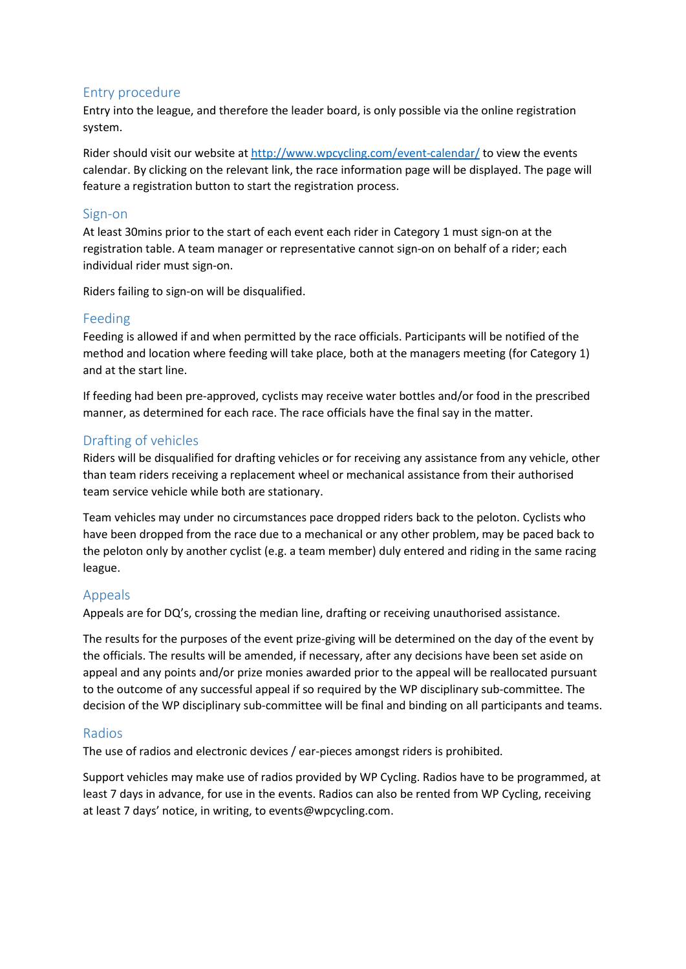#### Entry procedure

Entry into the league, and therefore the leader board, is only possible via the online registration system.

Rider should visit our website at http://www.wpcycling.com/event-calendar/ to view the events calendar. By clicking on the relevant link, the race information page will be displayed. The page will feature a registration button to start the registration process.

#### Sign-on

At least 30mins prior to the start of each event each rider in Category 1 must sign-on at the registration table. A team manager or representative cannot sign-on on behalf of a rider; each individual rider must sign-on.

Riders failing to sign-on will be disqualified.

### Feeding

Feeding is allowed if and when permitted by the race officials. Participants will be notified of the method and location where feeding will take place, both at the managers meeting (for Category 1) and at the start line.

If feeding had been pre-approved, cyclists may receive water bottles and/or food in the prescribed manner, as determined for each race. The race officials have the final say in the matter.

## Drafting of vehicles

Riders will be disqualified for drafting vehicles or for receiving any assistance from any vehicle, other than team riders receiving a replacement wheel or mechanical assistance from their authorised team service vehicle while both are stationary.

Team vehicles may under no circumstances pace dropped riders back to the peloton. Cyclists who have been dropped from the race due to a mechanical or any other problem, may be paced back to the peloton only by another cyclist (e.g. a team member) duly entered and riding in the same racing league.

## Appeals

Appeals are for DQ's, crossing the median line, drafting or receiving unauthorised assistance.

The results for the purposes of the event prize-giving will be determined on the day of the event by the officials. The results will be amended, if necessary, after any decisions have been set aside on appeal and any points and/or prize monies awarded prior to the appeal will be reallocated pursuant to the outcome of any successful appeal if so required by the WP disciplinary sub-committee. The decision of the WP disciplinary sub-committee will be final and binding on all participants and teams.

#### Radios

The use of radios and electronic devices / ear-pieces amongst riders is prohibited.

Support vehicles may make use of radios provided by WP Cycling. Radios have to be programmed, at least 7 days in advance, for use in the events. Radios can also be rented from WP Cycling, receiving at least 7 days' notice, in writing, to events@wpcycling.com.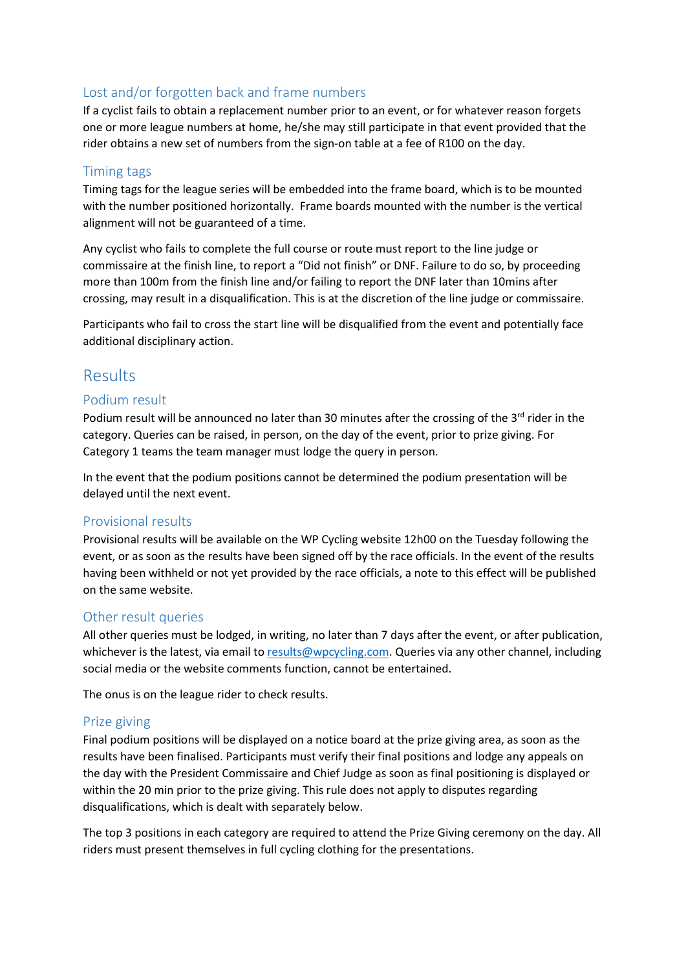## Lost and/or forgotten back and frame numbers

If a cyclist fails to obtain a replacement number prior to an event, or for whatever reason forgets one or more league numbers at home, he/she may still participate in that event provided that the rider obtains a new set of numbers from the sign-on table at a fee of R100 on the day.

#### Timing tags

Timing tags for the league series will be embedded into the frame board, which is to be mounted with the number positioned horizontally. Frame boards mounted with the number is the vertical alignment will not be guaranteed of a time.

Any cyclist who fails to complete the full course or route must report to the line judge or commissaire at the finish line, to report a "Did not finish" or DNF. Failure to do so, by proceeding more than 100m from the finish line and/or failing to report the DNF later than 10mins after crossing, may result in a disqualification. This is at the discretion of the line judge or commissaire.

Participants who fail to cross the start line will be disqualified from the event and potentially face additional disciplinary action.

# Results

#### Podium result

Podium result will be announced no later than 30 minutes after the crossing of the  $3<sup>rd</sup>$  rider in the category. Queries can be raised, in person, on the day of the event, prior to prize giving. For Category 1 teams the team manager must lodge the query in person.

In the event that the podium positions cannot be determined the podium presentation will be delayed until the next event.

#### Provisional results

Provisional results will be available on the WP Cycling website 12h00 on the Tuesday following the event, or as soon as the results have been signed off by the race officials. In the event of the results having been withheld or not yet provided by the race officials, a note to this effect will be published on the same website.

#### Other result queries

All other queries must be lodged, in writing, no later than 7 days after the event, or after publication, whichever is the latest, via email to results@wpcycling.com. Queries via any other channel, including social media or the website comments function, cannot be entertained.

The onus is on the league rider to check results.

#### Prize giving

Final podium positions will be displayed on a notice board at the prize giving area, as soon as the results have been finalised. Participants must verify their final positions and lodge any appeals on the day with the President Commissaire and Chief Judge as soon as final positioning is displayed or within the 20 min prior to the prize giving. This rule does not apply to disputes regarding disqualifications, which is dealt with separately below.

The top 3 positions in each category are required to attend the Prize Giving ceremony on the day. All riders must present themselves in full cycling clothing for the presentations.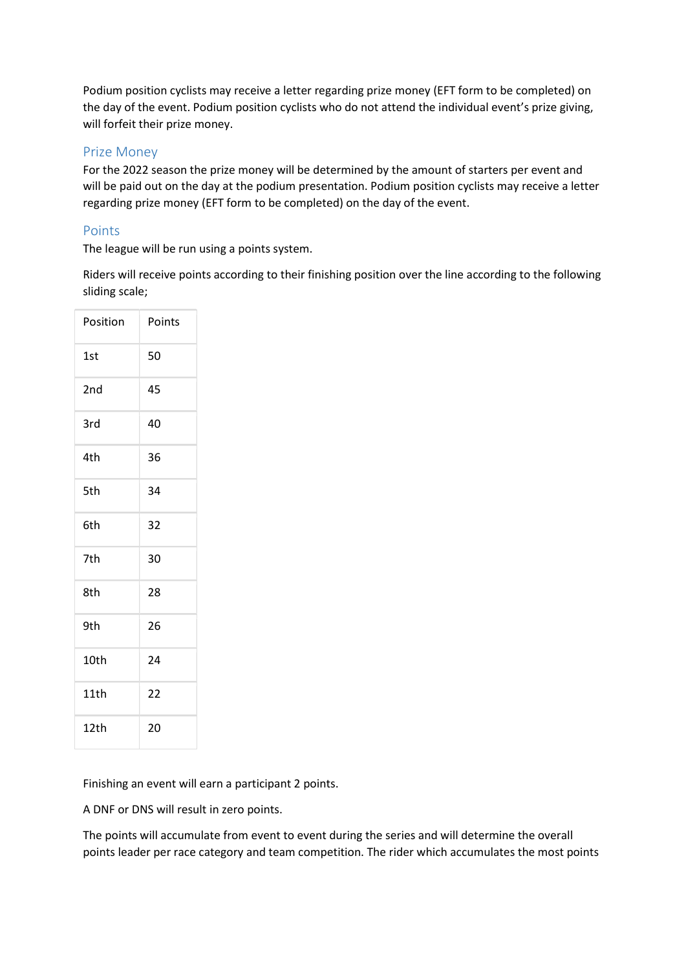Podium position cyclists may receive a letter regarding prize money (EFT form to be completed) on the day of the event. Podium position cyclists who do not attend the individual event's prize giving, will forfeit their prize money.

## Prize Money

For the 2022 season the prize money will be determined by the amount of starters per event and will be paid out on the day at the podium presentation. Podium position cyclists may receive a letter regarding prize money (EFT form to be completed) on the day of the event.

## Points

The league will be run using a points system.

Riders will receive points according to their finishing position over the line according to the following sliding scale;

| Position | Points |
|----------|--------|
| 1st      | 50     |
| 2nd      | 45     |
| 3rd      | 40     |
| 4th      | 36     |
| 5th      | 34     |
| 6th      | 32     |
| 7th      | 30     |
| 8th      | 28     |
| 9th      | 26     |
| 10th     | 24     |
| 11th     | 22     |
| 12th     | 20     |

Finishing an event will earn a participant 2 points.

A DNF or DNS will result in zero points.

The points will accumulate from event to event during the series and will determine the overall points leader per race category and team competition. The rider which accumulates the most points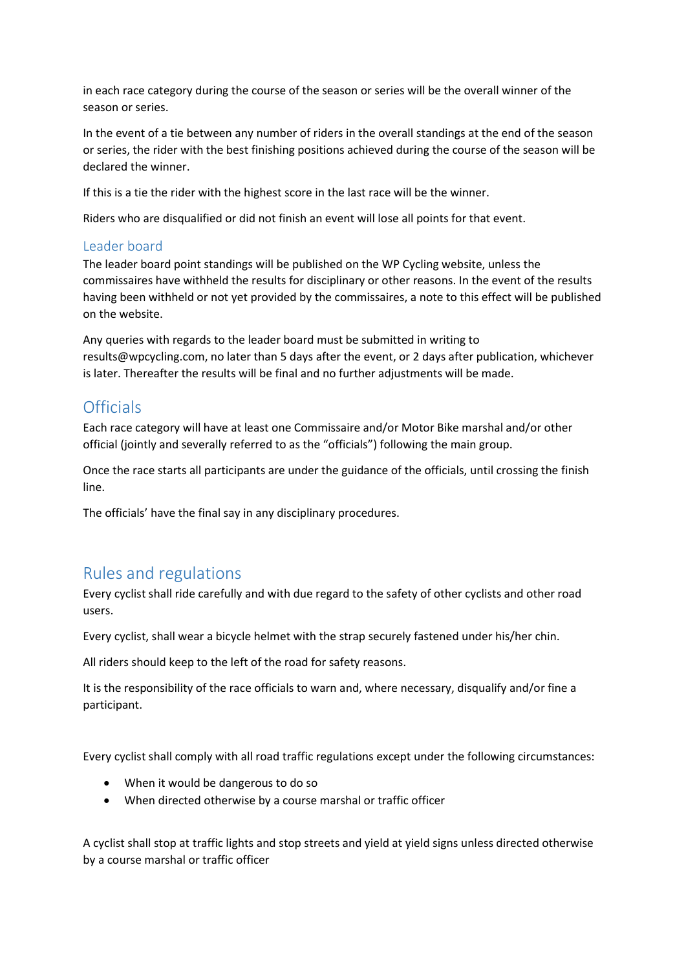in each race category during the course of the season or series will be the overall winner of the season or series.

In the event of a tie between any number of riders in the overall standings at the end of the season or series, the rider with the best finishing positions achieved during the course of the season will be declared the winner.

If this is a tie the rider with the highest score in the last race will be the winner.

Riders who are disqualified or did not finish an event will lose all points for that event.

#### Leader board

The leader board point standings will be published on the WP Cycling website, unless the commissaires have withheld the results for disciplinary or other reasons. In the event of the results having been withheld or not yet provided by the commissaires, a note to this effect will be published on the website.

Any queries with regards to the leader board must be submitted in writing to results@wpcycling.com, no later than 5 days after the event, or 2 days after publication, whichever is later. Thereafter the results will be final and no further adjustments will be made.

# **Officials**

Each race category will have at least one Commissaire and/or Motor Bike marshal and/or other official (jointly and severally referred to as the "officials") following the main group.

Once the race starts all participants are under the guidance of the officials, until crossing the finish line.

The officials' have the final say in any disciplinary procedures.

# Rules and regulations

Every cyclist shall ride carefully and with due regard to the safety of other cyclists and other road users.

Every cyclist, shall wear a bicycle helmet with the strap securely fastened under his/her chin.

All riders should keep to the left of the road for safety reasons.

It is the responsibility of the race officials to warn and, where necessary, disqualify and/or fine a participant.

Every cyclist shall comply with all road traffic regulations except under the following circumstances:

- When it would be dangerous to do so
- When directed otherwise by a course marshal or traffic officer

A cyclist shall stop at traffic lights and stop streets and yield at yield signs unless directed otherwise by a course marshal or traffic officer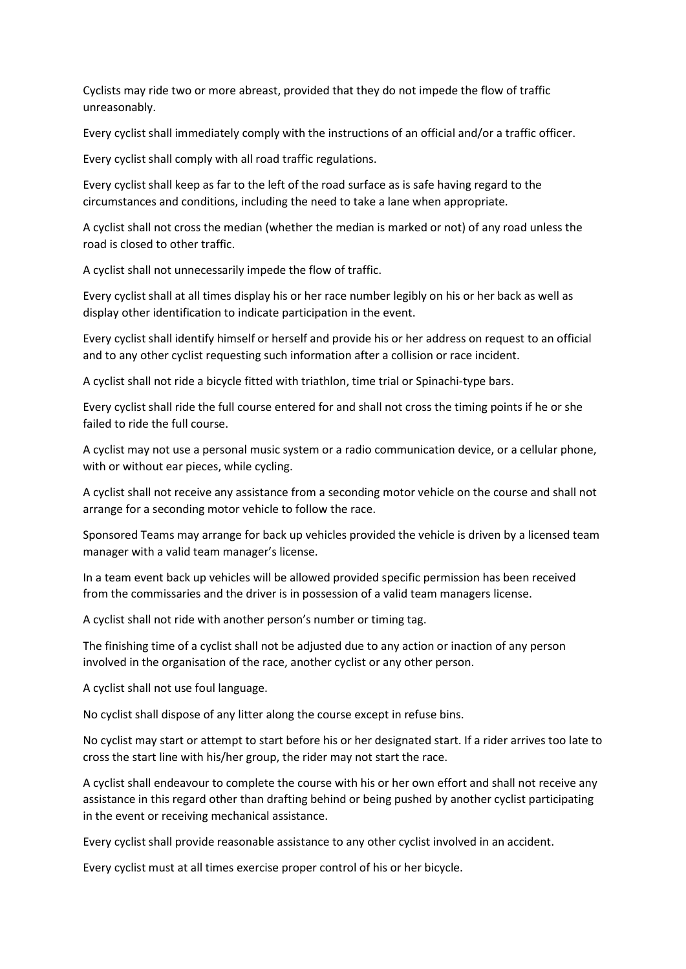Cyclists may ride two or more abreast, provided that they do not impede the flow of traffic unreasonably.

Every cyclist shall immediately comply with the instructions of an official and/or a traffic officer.

Every cyclist shall comply with all road traffic regulations.

Every cyclist shall keep as far to the left of the road surface as is safe having regard to the circumstances and conditions, including the need to take a lane when appropriate.

A cyclist shall not cross the median (whether the median is marked or not) of any road unless the road is closed to other traffic.

A cyclist shall not unnecessarily impede the flow of traffic.

Every cyclist shall at all times display his or her race number legibly on his or her back as well as display other identification to indicate participation in the event.

Every cyclist shall identify himself or herself and provide his or her address on request to an official and to any other cyclist requesting such information after a collision or race incident.

A cyclist shall not ride a bicycle fitted with triathlon, time trial or Spinachi-type bars.

Every cyclist shall ride the full course entered for and shall not cross the timing points if he or she failed to ride the full course.

A cyclist may not use a personal music system or a radio communication device, or a cellular phone, with or without ear pieces, while cycling.

A cyclist shall not receive any assistance from a seconding motor vehicle on the course and shall not arrange for a seconding motor vehicle to follow the race.

Sponsored Teams may arrange for back up vehicles provided the vehicle is driven by a licensed team manager with a valid team manager's license.

In a team event back up vehicles will be allowed provided specific permission has been received from the commissaries and the driver is in possession of a valid team managers license.

A cyclist shall not ride with another person's number or timing tag.

The finishing time of a cyclist shall not be adjusted due to any action or inaction of any person involved in the organisation of the race, another cyclist or any other person.

A cyclist shall not use foul language.

No cyclist shall dispose of any litter along the course except in refuse bins.

No cyclist may start or attempt to start before his or her designated start. If a rider arrives too late to cross the start line with his/her group, the rider may not start the race.

A cyclist shall endeavour to complete the course with his or her own effort and shall not receive any assistance in this regard other than drafting behind or being pushed by another cyclist participating in the event or receiving mechanical assistance.

Every cyclist shall provide reasonable assistance to any other cyclist involved in an accident.

Every cyclist must at all times exercise proper control of his or her bicycle.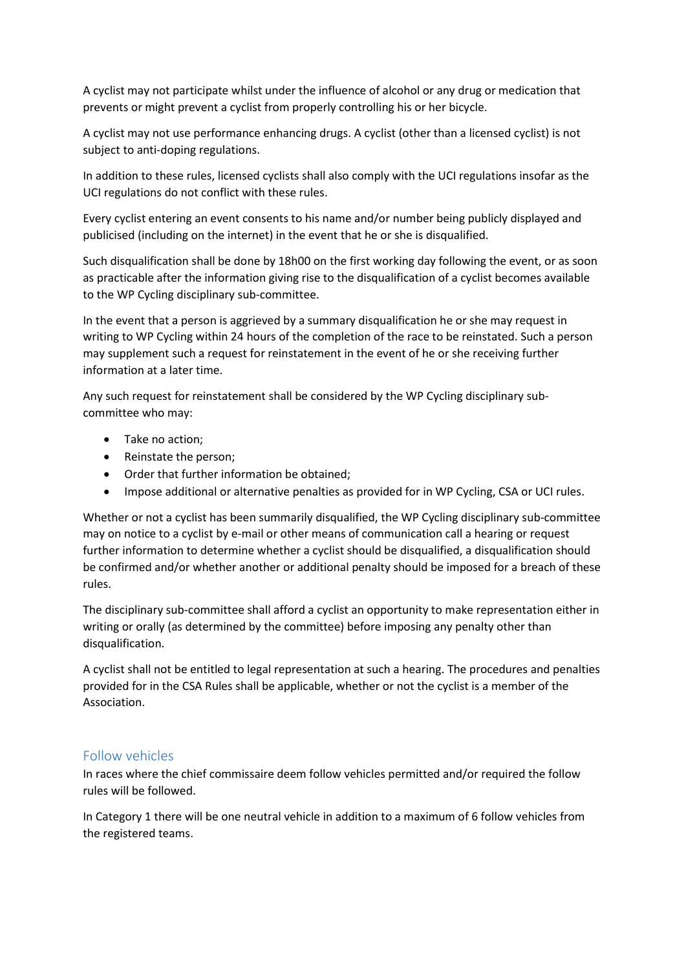A cyclist may not participate whilst under the influence of alcohol or any drug or medication that prevents or might prevent a cyclist from properly controlling his or her bicycle.

A cyclist may not use performance enhancing drugs. A cyclist (other than a licensed cyclist) is not subject to anti-doping regulations.

In addition to these rules, licensed cyclists shall also comply with the UCI regulations insofar as the UCI regulations do not conflict with these rules.

Every cyclist entering an event consents to his name and/or number being publicly displayed and publicised (including on the internet) in the event that he or she is disqualified.

Such disqualification shall be done by 18h00 on the first working day following the event, or as soon as practicable after the information giving rise to the disqualification of a cyclist becomes available to the WP Cycling disciplinary sub-committee.

In the event that a person is aggrieved by a summary disqualification he or she may request in writing to WP Cycling within 24 hours of the completion of the race to be reinstated. Such a person may supplement such a request for reinstatement in the event of he or she receiving further information at a later time.

Any such request for reinstatement shall be considered by the WP Cycling disciplinary subcommittee who may:

- Take no action;
- Reinstate the person;
- Order that further information be obtained;
- Impose additional or alternative penalties as provided for in WP Cycling, CSA or UCI rules.

Whether or not a cyclist has been summarily disqualified, the WP Cycling disciplinary sub-committee may on notice to a cyclist by e-mail or other means of communication call a hearing or request further information to determine whether a cyclist should be disqualified, a disqualification should be confirmed and/or whether another or additional penalty should be imposed for a breach of these rules.

The disciplinary sub-committee shall afford a cyclist an opportunity to make representation either in writing or orally (as determined by the committee) before imposing any penalty other than disqualification.

A cyclist shall not be entitled to legal representation at such a hearing. The procedures and penalties provided for in the CSA Rules shall be applicable, whether or not the cyclist is a member of the Association.

### Follow vehicles

In races where the chief commissaire deem follow vehicles permitted and/or required the follow rules will be followed.

In Category 1 there will be one neutral vehicle in addition to a maximum of 6 follow vehicles from the registered teams.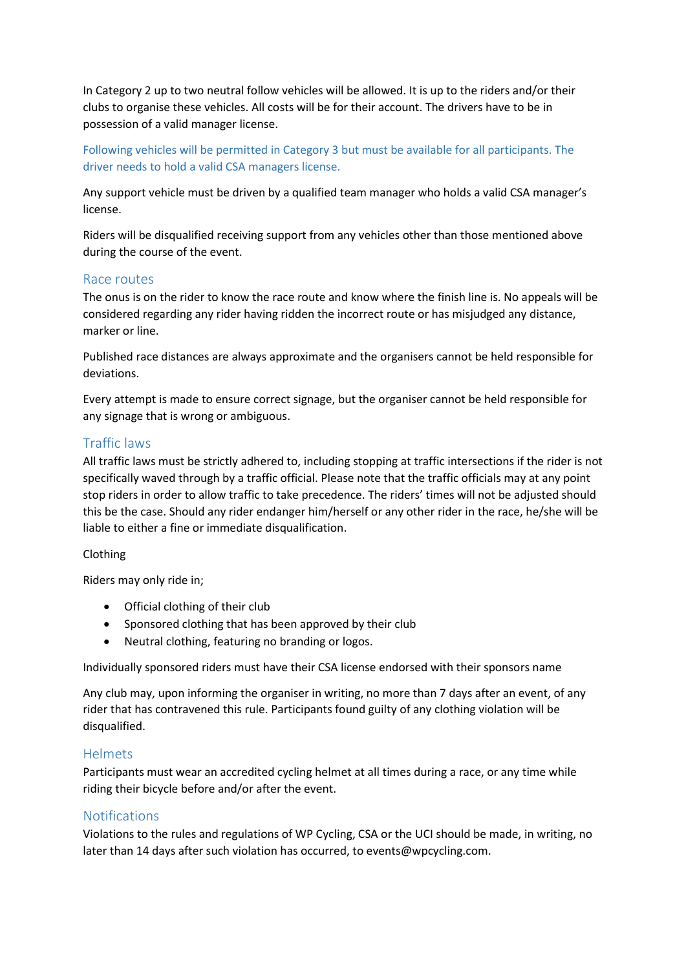In Category 2 up to two neutral follow vehicles will be allowed. It is up to the riders and/or their clubs to organise these vehicles. All costs will be for their account. The drivers have to be in possession of a valid manager license.

Following vehicles will be permitted in Category 3 but must be available for all participants. The driver needs to hold a valid CSA managers license.

Any support vehicle must be driven by a qualified team manager who holds a valid CSA manager's license.

Riders will be disqualified receiving support from any vehicles other than those mentioned above during the course of the event.

#### Race routes

The onus is on the rider to know the race route and know where the finish line is. No appeals will be considered regarding any rider having ridden the incorrect route or has misjudged any distance, marker or line.

Published race distances are always approximate and the organisers cannot be held responsible for deviations.

Every attempt is made to ensure correct signage, but the organiser cannot be held responsible for any signage that is wrong or ambiguous.

### Traffic laws

All traffic laws must be strictly adhered to, including stopping at traffic intersections if the rider is not specifically waved through by a traffic official. Please note that the traffic officials may at any point stop riders in order to allow traffic to take precedence. The riders' times will not be adjusted should this be the case. Should any rider endanger him/herself or any other rider in the race, he/she will be liable to either a fine or immediate disqualification.

#### Clothing

Riders may only ride in;

- Official clothing of their club
- Sponsored clothing that has been approved by their club
- Neutral clothing, featuring no branding or logos.

Individually sponsored riders must have their CSA license endorsed with their sponsors name

Any club may, upon informing the organiser in writing, no more than 7 days after an event, of any rider that has contravened this rule. Participants found guilty of any clothing violation will be disqualified.

#### Helmets

Participants must wear an accredited cycling helmet at all times during a race, or any time while riding their bicycle before and/or after the event.

#### **Notifications**

Violations to the rules and regulations of WP Cycling, CSA or the UCI should be made, in writing, no later than 14 days after such violation has occurred, to events@wpcycling.com.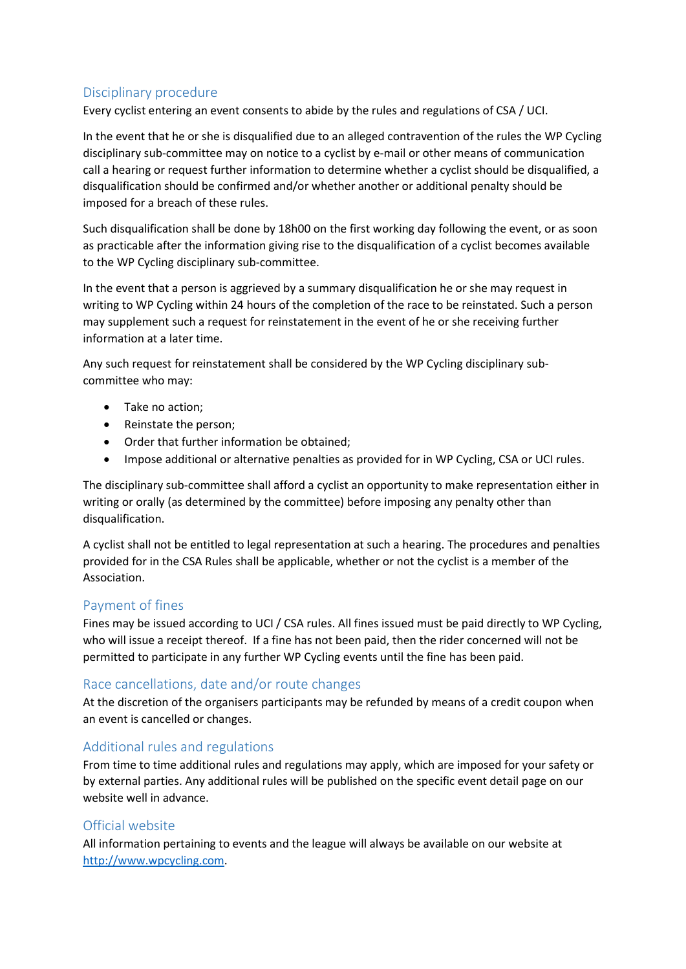## Disciplinary procedure

Every cyclist entering an event consents to abide by the rules and regulations of CSA / UCI.

In the event that he or she is disqualified due to an alleged contravention of the rules the WP Cycling disciplinary sub-committee may on notice to a cyclist by e-mail or other means of communication call a hearing or request further information to determine whether a cyclist should be disqualified, a disqualification should be confirmed and/or whether another or additional penalty should be imposed for a breach of these rules.

Such disqualification shall be done by 18h00 on the first working day following the event, or as soon as practicable after the information giving rise to the disqualification of a cyclist becomes available to the WP Cycling disciplinary sub-committee.

In the event that a person is aggrieved by a summary disqualification he or she may request in writing to WP Cycling within 24 hours of the completion of the race to be reinstated. Such a person may supplement such a request for reinstatement in the event of he or she receiving further information at a later time.

Any such request for reinstatement shall be considered by the WP Cycling disciplinary subcommittee who may:

- Take no action;
- Reinstate the person;
- Order that further information be obtained;
- Impose additional or alternative penalties as provided for in WP Cycling, CSA or UCI rules.

The disciplinary sub-committee shall afford a cyclist an opportunity to make representation either in writing or orally (as determined by the committee) before imposing any penalty other than disqualification.

A cyclist shall not be entitled to legal representation at such a hearing. The procedures and penalties provided for in the CSA Rules shall be applicable, whether or not the cyclist is a member of the Association.

#### Payment of fines

Fines may be issued according to UCI / CSA rules. All fines issued must be paid directly to WP Cycling, who will issue a receipt thereof. If a fine has not been paid, then the rider concerned will not be permitted to participate in any further WP Cycling events until the fine has been paid.

#### Race cancellations, date and/or route changes

At the discretion of the organisers participants may be refunded by means of a credit coupon when an event is cancelled or changes.

#### Additional rules and regulations

From time to time additional rules and regulations may apply, which are imposed for your safety or by external parties. Any additional rules will be published on the specific event detail page on our website well in advance.

#### Official website

All information pertaining to events and the league will always be available on our website at http://www.wpcycling.com.